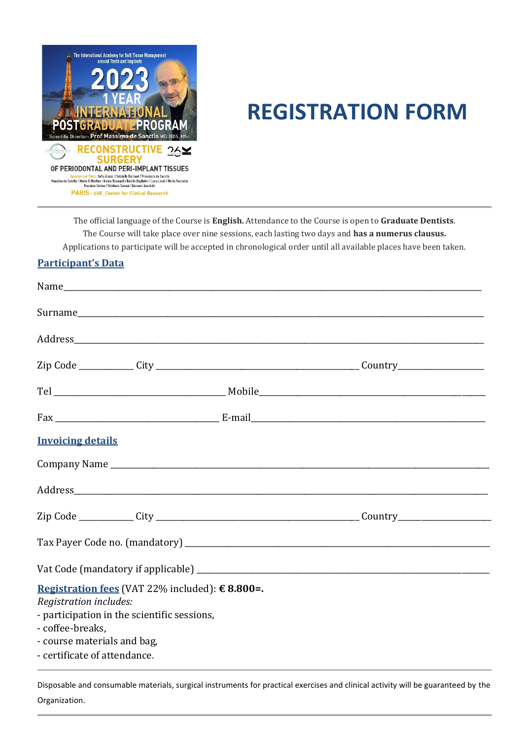

## **REGISTRATION FORM**

The official language of the Course is **English.** Attendance to the Course is open to **Graduate Dentists**. The Course will take place over nine sessions, each lasting two days and **has a numerus clausus.**  Applications to participate will be accepted in chronological order until all available places have been taken.

## **Participant's Data**

| <b>Invoicing details</b>                                        |  |
|-----------------------------------------------------------------|--|
|                                                                 |  |
|                                                                 |  |
|                                                                 |  |
|                                                                 |  |
|                                                                 |  |
| Registration fees (VAT 22% included): €8.800=.                  |  |
| Registration includes:                                          |  |
| - participation in the scientific sessions,<br>- coffee-breaks, |  |
| - course materials and bag,                                     |  |
| - certificate of attendance.                                    |  |

Disposable and consumable materials, surgical instruments for practical exercises and clinical activity will be guaranteed by the Organization.